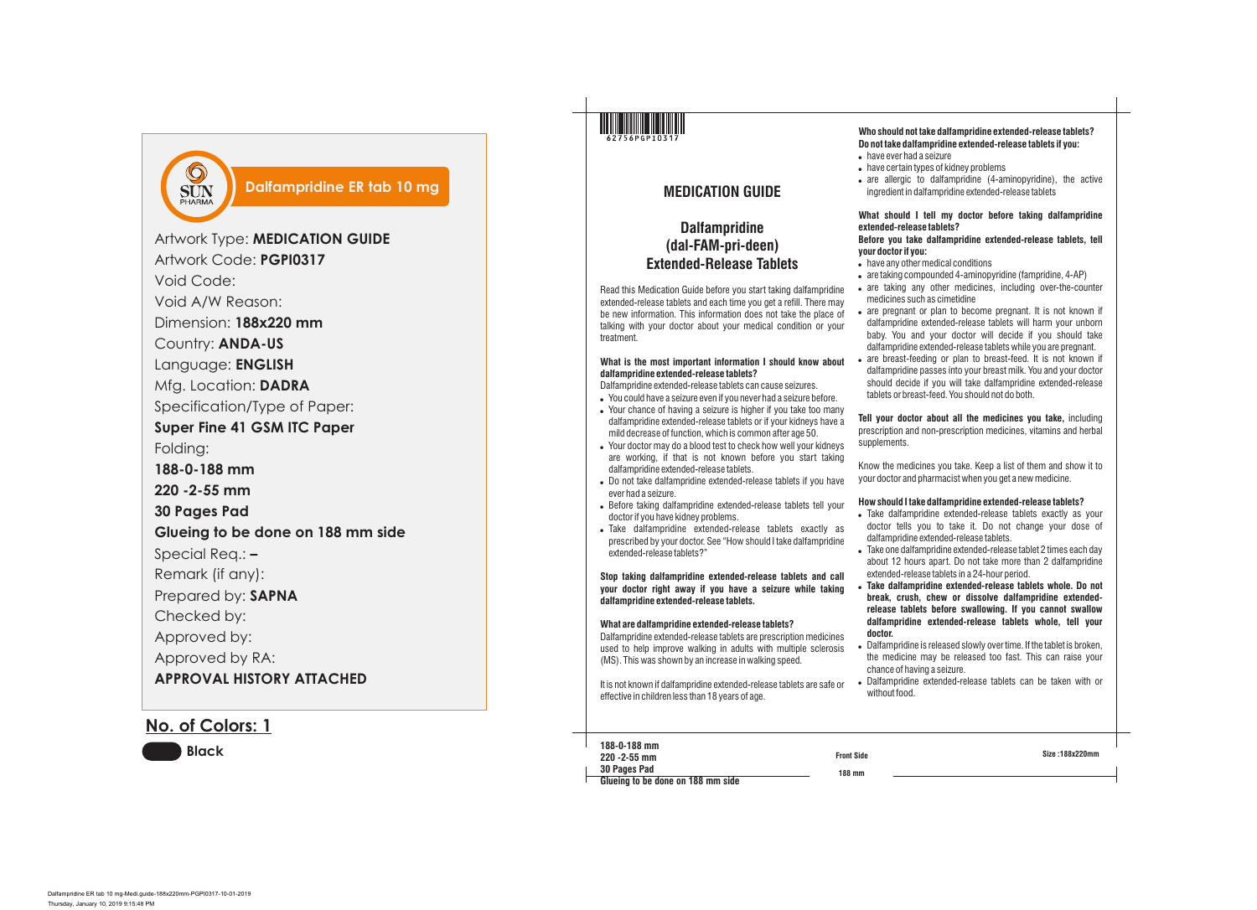**Size :188x220mm**

**188 mm Front Side 188-0-188 mm 220 -2-55 mm 30 Pages Pad Glueing to be done on 188 mm side**

- have ever had a seizure
- 
- 

## **MEDICATION GUIDE**

## **Dalfampridine (dal-FAM-pri-deen) Extended-Release Tablets**

Read this Medication Guide before you start taking dalfampridine extended-release tablets and each time you get a refill. There may be new information. This information does not take the place of talking with your doctor about your medical condition or your treatment.

### **What is the most important information I should know about dalfampridine extended-release tablets?**

Dalfampridine extended-release tablets can cause seizures.

- . You could have a seizure even if you never had a seizure before. • Your chance of having a seizure is higher if you take too many dalfampridine extended-release tablets or if your kidneys have a mild decrease of function, which is common after age 50.
- . Your doctor may do a blood test to check how well your kidneys are working, if that is not known before you start taking dalfampridine extended-release tablets.
- . Do not take dalfampridine extended-release tablets if you have ever had a seizure.
- . Before taking dalfampridine extended-release tablets tell your doctor if you have kidney problems.
- . Take dalfampridine extended-release tablets exactly as prescribed by your doctor. See "How should I take dalfampridine extended-release tablets?"

 $\bullet$  are allergic to dalfampridine (4-aminopyridine), the active ingredient in dalfampridine extended-release tablets

• are taking any other medicines, including over-the-counter medicines such as cimetidine

• are pregnant or plan to become pregnant. It is not known if dalfampridine extended-release tablets will harm your unborn baby. You and your doctor will decide if you should take dalfampridine extended-release tablets while you are pregnant.

**Stop taking dalfampridine extended-release tablets and call your doctor right away if you have a seizure while taking dalfampridine extended-release tablets.** 

• are breast-feeding or plan to breast-feed. It is not known if dalfampridine passes into your breast milk. You and your doctor should decide if you will take dalfampridine extended-release tablets or breast-feed. You should not do both.

### **What are dalfampridine extended-release tablets?**

Dalfampridine extended-release tablets are prescription medicines used to help improve walking in adults with multiple sclerosis (MS). This was shown by an increase in walking speed.

. Take dalfampridine extended-release tablets exactly as your doctor tells you to take it. Do not change your dose of dalfampridine extended-release tablets.

It is not known if dalfampridine extended-release tablets are safe or effective in children less than 18 years of age.

. Take one dalfampridine extended-release tablet 2 times each day about 12 hours apart. Do not take more than 2 dalfampridine extended-release tablets in a 24-hour period.

## **Who should not take dalfampridine extended-release tablets? Do not take dalfampridine extended-release tablets if you:**

. have certain types of kidney problems

. Dalfampridine is released slowly over time. If the tablet is broken, the medicine may be released too fast. This can raise your chance of having a seizure.

. Dalfampridine extended-release tablets can be taken with or

### **What should I tell my doctor before taking dalfampridine extended-release tablets?**

# **Before you take dalfampridine extended-release tablets, tell**

• have any other medical conditions

• are taking compounded 4-aminopyridine (fampridine, 4-AP)

**your doctor if you:** 

- 
- 
- 
- 

**Tell your doctor about all the medicines you take,** including prescription and non-prescription medicines, vitamins and herbal

supplements.

- 
- 
- 
- 
- 
- 

Know the medicines you take. Keep a list of them and show it to your doctor and pharmacist when you get a new medicine.

### **How should I take dalfampridine extended-release tablets?**

! **Take dalfampridine extended-release tablets whole. Do not break, crush, chew or dissolve dalfampridine extendedrelease tablets before swallowing. If you cannot swallow dalfampridine extended-release tablets whole, tell your** 

- **doctor.**
- 
- 
- without food.

**No. of Colors: 1**

**Black**

| Artwork Code: PGPI0317<br>Void Code:<br>Void A/W Reason:<br>Dimension: 188x220 mm<br>Country: <b>ANDA-US</b><br>Language: ENGLISH |
|-----------------------------------------------------------------------------------------------------------------------------------|
|                                                                                                                                   |
|                                                                                                                                   |
|                                                                                                                                   |
|                                                                                                                                   |
|                                                                                                                                   |
|                                                                                                                                   |
| Mfg. Location: DADRA                                                                                                              |
| Specification/Type of Paper:                                                                                                      |
| <b>Super Fine 41 GSM ITC Paper</b>                                                                                                |
| Folding:                                                                                                                          |
| 188-0-188 mm                                                                                                                      |
| 220 - 2 - 55 mm                                                                                                                   |
| <b>30 Pages Pad</b>                                                                                                               |
| Glueing to be done on 188 mm side                                                                                                 |
| Special Req.: -                                                                                                                   |
| Remark (if any):                                                                                                                  |
| Prepared by: SAPNA                                                                                                                |
| Checked by:                                                                                                                       |
| Approved by:                                                                                                                      |
| Approved by RA:                                                                                                                   |
| <b>APPROVAL HISTORY ATTACHED</b>                                                                                                  |
|                                                                                                                                   |

**THE REAL PROPERTY OF PERSON** 



## **Dalfampridine ER tab 10 mg**